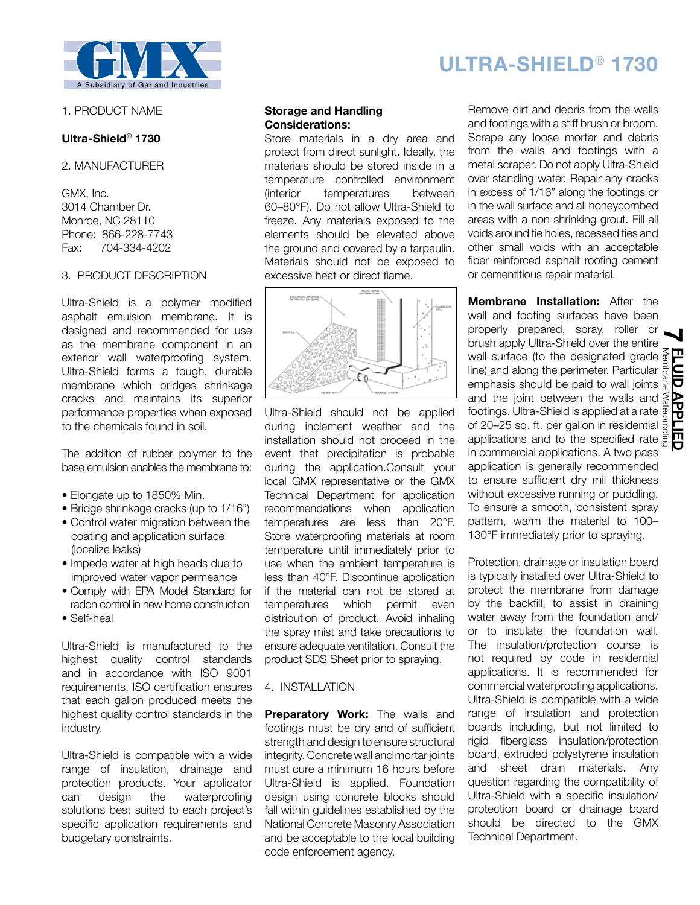

### 1. PRODUCT NAME

# **Ultra-Shield**® **1730**

2. MANUFACTURER

GMX, Inc. 3014 Chamber Dr. Monroe, NC 28110 Phone: 866-228-7743 Fax: 704-334-4202

#### 3. PRODUCT DESCRIPTION

Ultra-Shield is a polymer modified asphalt emulsion membrane. It is designed and recommended for use as the membrane component in an exterior wall waterproofing system. Ultra-Shield forms a tough, durable membrane which bridges shrinkage cracks and maintains its superior performance properties when exposed to the chemicals found in soil.

The addition of rubber polymer to the base emulsion enables the membrane to:

- Elongate up to 1850% Min.
- Bridge shrinkage cracks (up to 1/16")
- Control water migration between the coating and application surface (localize leaks)
- Impede water at high heads due to improved water vapor permeance
- Comply with EPA Model Standard for radon control in new home construction
- Self-heal

Ultra-Shield is manufactured to the highest quality control standards and in accordance with ISO 9001 requirements. ISO certification ensures that each gallon produced meets the highest quality control standards in the industry.

Ultra-Shield is compatible with a wide range of insulation, drainage and protection products. Your applicator can design the waterproofing solutions best suited to each project's specific application requirements and budgetary constraints.

## **Storage and Handling Considerations:**

Store materials in a dry area and protect from direct sunlight. Ideally, the materials should be stored inside in a temperature controlled environment (interior temperatures between 60–80°F). Do not allow Ultra-Shield to freeze. Any materials exposed to the elements should be elevated above the ground and covered by a tarpaulin. Materials should not be exposed to excessive heat or direct flame.



Ultra-Shield should not be applied during inclement weather and the installation should not proceed in the event that precipitation is probable during the application.Consult your local GMX representative or the GMX Technical Department for application recommendations when application temperatures are less than 20°F. Store waterproofing materials at room temperature until immediately prior to use when the ambient temperature is less than 40°F. Discontinue application if the material can not be stored at temperatures which permit even distribution of product. Avoid inhaling the spray mist and take precautions to ensure adequate ventilation. Consult the product SDS Sheet prior to spraying.

## 4. INSTALLATION

**Preparatory Work:** The walls and footings must be dry and of sufficient strength and design to ensure structural integrity. Concrete wall and mortar joints must cure a minimum 16 hours before Ultra-Shield is applied. Foundation design using concrete blocks should fall within guidelines established by the National Concrete Masonry Association and be acceptable to the local building code enforcement agency.

Remove dirt and debris from the walls and footings with a stiff brush or broom. Scrape any loose mortar and debris from the walls and footings with a metal scraper. Do not apply Ultra-Shield over standing water. Repair any cracks in excess of 1/16" along the footings or in the wall surface and all honeycombed areas with a non shrinking grout. Fill all voids around tie holes, recessed ties and other small voids with an acceptable fiber reinforced asphalt roofing cement or cementitious repair material.

**Membrane Installation:** After the wall and footing surfaces have been properly prepared, spray, roller or brush apply Ultra-Shield over the entire wall surface (to the designated grade line) and along the perimeter. Particular emphasis should be paid to wall joints and the joint between the walls and footings. Ultra-Shield is applied at a rate of 20–25 sq. ft. per gallon in residential wall surface (to the designated grade same)<br>line) and along the perimeter. Particular signal<br>emphasis should be paid to wall joints a same and the joint between the walls and same<br>footings. Ultra-Shield is applied at a rat in commercial applications. A two pass application is generally recommended to ensure sufficient dry mil thickness without excessive running or puddling. To ensure a smooth, consistent spray pattern, warm the material to 100– 130°F immediately prior to spraying.

Protection, drainage or insulation board is typically installed over Ultra-Shield to protect the membrane from damage by the backfill, to assist in draining water away from the foundation and/ or to insulate the foundation wall. The insulation/protection course is not required by code in residential applications. It is recommended for commercial waterproofing applications. Ultra-Shield is compatible with a wide range of insulation and protection boards including, but not limited to rigid fiberglass insulation/protection board, extruded polystyrene insulation and sheet drain materials. Any question regarding the compatibility of Ultra-Shield with a specific insulation/ protection board or drainage board should be directed to the GMX Technical Department.

# **ULTRA-SHIELD**® **1730**